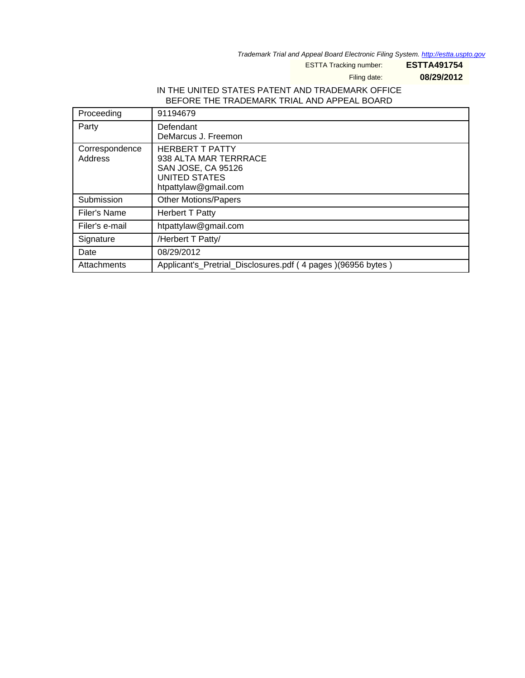Trademark Trial and Appeal Board Electronic Filing System. <http://estta.uspto.gov>

ESTTA Tracking number: **ESTTA491754**

Filing date: **08/29/2012**

#### IN THE UNITED STATES PATENT AND TRADEMARK OFFICE BEFORE THE TRADEMARK TRIAL AND APPEAL BOARD

| Proceeding                | 91194679                                                                                                              |
|---------------------------|-----------------------------------------------------------------------------------------------------------------------|
| Party                     | Defendant<br>DeMarcus J. Freemon                                                                                      |
| Correspondence<br>Address | <b>HERBERT T PATTY</b><br>938 ALTA MAR TERRRACE<br>SAN JOSE, CA 95126<br><b>UNITED STATES</b><br>htpattylaw@gmail.com |
| Submission                | <b>Other Motions/Papers</b>                                                                                           |
| Filer's Name              | <b>Herbert T Patty</b>                                                                                                |
| Filer's e-mail            | htpattylaw@gmail.com                                                                                                  |
| Signature                 | /Herbert T Patty/                                                                                                     |
| Date                      | 08/29/2012                                                                                                            |
| Attachments               | Applicant's_Pretrial_Disclosures.pdf (4 pages)(96956 bytes)                                                           |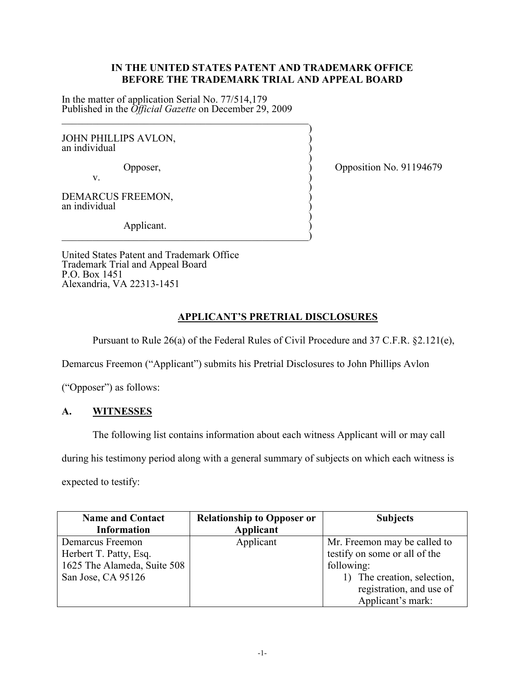#### **IN THE UNITED STATES PATENT AND TRADEMARK OFFICE BEFORE THE TRADEMARK TRIAL AND APPEAL BOARD**

In the matter of application Serial No. 77/514,179 Published in the *Official Gazette* on December 29, 2009  $\frac{1}{2}$  ,  $\frac{1}{2}$  ,  $\frac{1}{2}$  ,  $\frac{1}{2}$  ,  $\frac{1}{2}$  ,  $\frac{1}{2}$  ,  $\frac{1}{2}$  ,  $\frac{1}{2}$  ,  $\frac{1}{2}$  ,  $\frac{1}{2}$  ,  $\frac{1}{2}$  ,  $\frac{1}{2}$  ,  $\frac{1}{2}$  ,  $\frac{1}{2}$  ,  $\frac{1}{2}$  ,  $\frac{1}{2}$  ,  $\frac{1}{2}$  ,  $\frac{1}{2}$  ,  $\frac{1$ 

 $\hspace{0.5cm}\longrightarrow$  ) and ( ) and ( ) and ( ) and ( ) and ( ) and ( ) and ( ) and ( ) and ( ) and ( ) and ( ) and ( ) and ( ) and ( ) and ( ) and ( ) and ( ) and ( ) and ( ) and ( ) and ( ) and ( ) and ( ) and ( ) and ( ) and ( JOHN PHILLIPS AVLON, an individual )

 $)$ v.  $\qquad \qquad$  )

Opposer, Opposer,  $\rangle$  Opposition No. 91194679

 $)$ DEMARCUS FREEMON, an individual )

 $)$  Applicant. )  $\hspace{.5em}$   $\hspace{.5em}$   $\hspace{.5em}$   $\hspace{.5em}$   $\hspace{.5em}$   $\hspace{.5em}$   $\hspace{.5em}$   $\hspace{.5em}$   $\hspace{.5em}$   $\hspace{.5em}$   $\hspace{.5em}$   $\hspace{.5em}$   $\hspace{.5em}$   $\hspace{.5em}$   $\hspace{.5em}$   $\hspace{.5em}$   $\hspace{.5em}$   $\hspace{.5em}$   $\hspace{.5em}$   $\hspace{.5em}$ 

United States Patent and Trademark Office Trademark Trial and Appeal Board P.O. Box 1451 Alexandria, VA 22313-1451

# **APPLICANT'S PRETRIAL DISCLOSURES**

Pursuant to Rule 26(a) of the Federal Rules of Civil Procedure and 37 C.F.R. §2.121(e),

Demarcus Freemon ("Applicant") submits his Pretrial Disclosures to John Phillips Avlon

("Opposer") as follows:

## **A. WITNESSES**

The following list contains information about each witness Applicant will or may call

during his testimony period along with a general summary of subjects on which each witness is

expected to testify:

| <b>Name and Contact</b>     | <b>Relationship to Opposer or</b> | <b>Subjects</b>               |  |
|-----------------------------|-----------------------------------|-------------------------------|--|
| <b>Information</b>          | <b>Applicant</b>                  |                               |  |
| Demarcus Freemon            | Applicant                         | Mr. Freemon may be called to  |  |
| Herbert T. Patty, Esq.      |                                   | testify on some or all of the |  |
| 1625 The Alameda, Suite 508 |                                   | following:                    |  |
| San Jose, CA 95126          |                                   | 1) The creation, selection,   |  |
|                             |                                   | registration, and use of      |  |
|                             |                                   | Applicant's mark:             |  |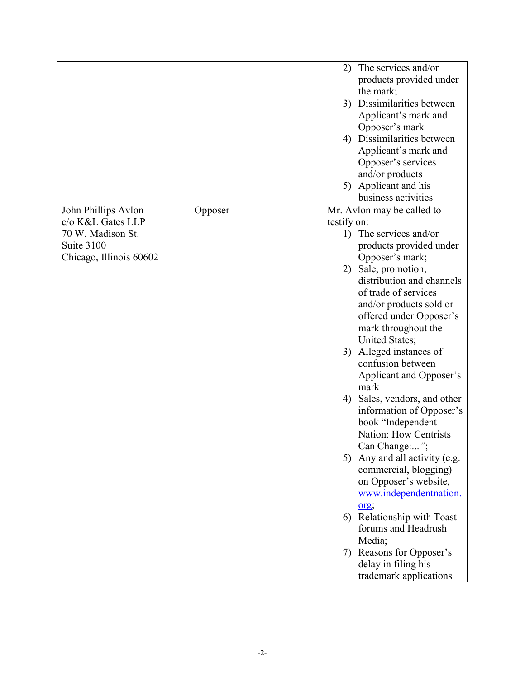|                         |         |             | 2) The services and/or       |
|-------------------------|---------|-------------|------------------------------|
|                         |         |             |                              |
|                         |         |             | products provided under      |
|                         |         |             | the mark;                    |
|                         |         | 3)          | Dissimilarities between      |
|                         |         |             | Applicant's mark and         |
|                         |         |             | Opposer's mark               |
|                         |         | 4)          | Dissimilarities between      |
|                         |         |             | Applicant's mark and         |
|                         |         |             | Opposer's services           |
|                         |         |             | and/or products              |
|                         |         |             | 5) Applicant and his         |
|                         |         |             | business activities          |
|                         |         |             |                              |
| John Phillips Avlon     | Opposer |             | Mr. Avlon may be called to   |
| c/o K&L Gates LLP       |         | testify on: |                              |
| 70 W. Madison St.       |         |             | 1) The services and/or       |
| Suite 3100              |         |             | products provided under      |
| Chicago, Illinois 60602 |         |             | Opposer's mark;              |
|                         |         |             | 2) Sale, promotion,          |
|                         |         |             | distribution and channels    |
|                         |         |             | of trade of services         |
|                         |         |             | and/or products sold or      |
|                         |         |             | offered under Opposer's      |
|                         |         |             | mark throughout the          |
|                         |         |             | <b>United States;</b>        |
|                         |         | 3)          | Alleged instances of         |
|                         |         |             |                              |
|                         |         |             | confusion between            |
|                         |         |             | Applicant and Opposer's      |
|                         |         |             | mark                         |
|                         |         | 4)          | Sales, vendors, and other    |
|                         |         |             | information of Opposer's     |
|                         |         |             | book "Independent            |
|                         |         |             | <b>Nation: How Centrists</b> |
|                         |         |             | Can Change:";                |
|                         |         | 5)          | Any and all activity (e.g.   |
|                         |         |             | commercial, blogging)        |
|                         |         |             | on Opposer's website,        |
|                         |         |             | www.independentnation.       |
|                         |         |             |                              |
|                         |         |             | org;                         |
|                         |         |             | 6) Relationship with Toast   |
|                         |         |             | forums and Headrush          |
|                         |         |             | Media;                       |
|                         |         | 7)          | Reasons for Opposer's        |
|                         |         |             | delay in filing his          |
|                         |         |             | trademark applications       |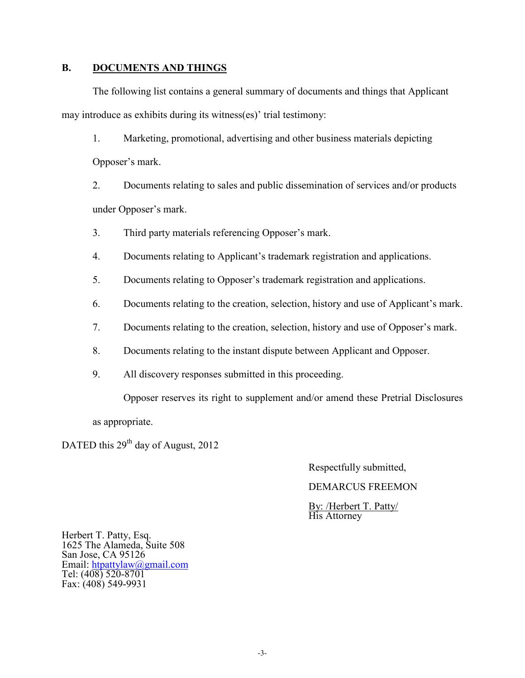### **B. DOCUMENTS AND THINGS**

The following list contains a general summary of documents and things that Applicant may introduce as exhibits during its witness(es)' trial testimony:

1. Marketing, promotional, advertising and other business materials depicting Opposer's mark.

2. Documents relating to sales and public dissemination of services and/or products under Opposer's mark.

- 3. Third party materials referencing Opposer's mark.
- 4. Documents relating to Applicant's trademark registration and applications.
- 5. Documents relating to Opposer's trademark registration and applications.
- 6. Documents relating to the creation, selection, history and use of Applicant's mark.
- 7. Documents relating to the creation, selection, history and use of Opposer's mark.
- 8. Documents relating to the instant dispute between Applicant and Opposer.
- 9. All discovery responses submitted in this proceeding.

Opposer reserves its right to supplement and/or amend these Pretrial Disclosures

as appropriate.

DATED this 29<sup>th</sup> day of August, 2012

Respectfully submitted,

DEMARCUS FREEMON

 By: /Herbert T. Patty/ His Attorney

Herbert T. Patty, Esq. 1625 The Alameda, Suite 508 San Jose, CA 95126 Email: [htpattylaw@gmail.com](mailto:htpattylaw@gmail.com) Tel: (408) 520-8701 Fax: (408) 549-9931